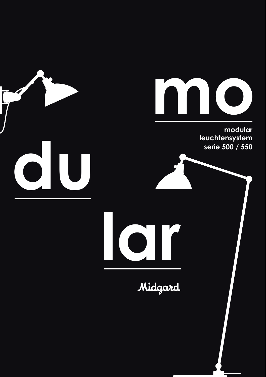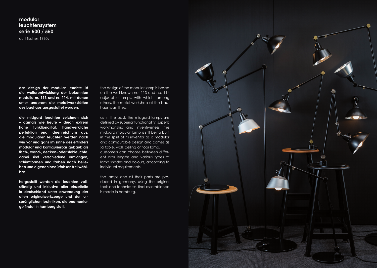**modular leuchtensystem serie 500 / 550** curt fischer, 1930s

**das design der modular leuchte ist die weiterentwicklung der bekannten modelle nr. 113 und nr. 114, mit denen unter anderem die metallwerkstätten des bauhaus ausgestattet wurden.**

**die midgard leuchten zeichnen sich – damals wie heute – durch extrem hohe funktionalität, handwerkliche perfektion und ideenreichtum aus. die modularen leuchten werden nach wie vor und ganz im sinne des erfinders modular und konfigurierbar gebaut: als tisch-, wand-, decken- oder stehleuchte. dabei sind verschiedene armlängen, schirmformen und farben nach belieben und eigenen bedürfnissen frei wählbar.**

**hergestellt werden die leuchten vollständig und inklusive aller einzelteile in deutschland unter anwendung der alten originalwerkzeuge und der ursprünglichen techniken. die endmontage findet in hamburg statt.**

the design of the modular lamp is based on the well-known no. 113 and no. 114 adjustable lamps, with which, among others, the metal workshop at the bauhaus was fitted.

as in the past, the midgard lamps are defined by superior functionality, superb workmanship and inventiveness. the midgard modular lamp is still being built in the spirit of its inventor as a modular and configurable design and comes as :a table, wall, ceiling or floor lamp. customers can choose between different arm lengths and various types of lamp shades and colours, according to individual requirements.

the lamps and all their parts are produced in germany, using the original tools and techniques. final assemblance is made in hamburg.

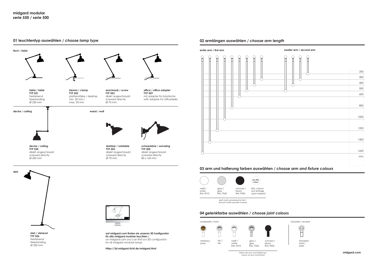Ø 350 mm

#### **01 leuchtentyp auswählen /** *choose lamp type*



**https://3d.midgard-licht.de/midgard.html**

#### **02 armlängen auswählen /** *choose arm length*



## **03 arm und halterung farben auswählen /** *choose arm and fixture colours*



glatt matt pulverbeschichtet / smooth matte powder-coated

## **04 gelenkfarbe auswählen /** *choose joint colours*



farbe wie arm und halterung / colour as arms and fixture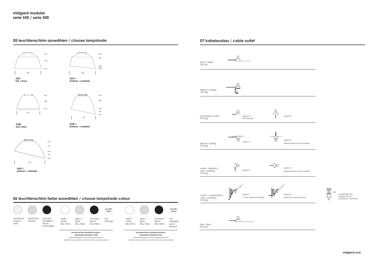### **05 leuchtenschirm auswählen /** *choose lampshade*





<u>in</u> 88 157



88

 $\frac{1}{45}$ 

**3308-1 drehbar / rotatable**

**3308 fest/ fixed**

**fest / fixed**

 $\overline{\phantom{0}}$ 73  $\overline{\phantom{a}}$ 52 213

**3309-1 drehbar / rotatable**

# **06 leuchtenschirm farbe auswählen /** *choose lampshade colour*



außenseitig glatt matt pulverbeschichtet / exterior shade surface smooth matte powder-coated





schwarz / black RAL 9005 auf anfrage / upon request

**any RAL colour**